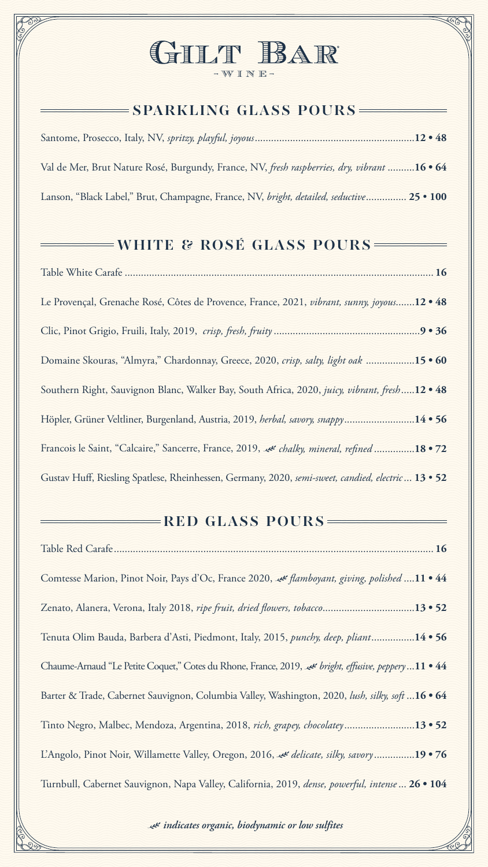# GILT BAR -WINE-



# **SPARKLING GLASS POURS**

Santome, Prosecco, Italy, NV, *spritzy, playful, joyous*...........................................................**12 • 48**

Val de Mer, Brut Nature Rosé, Burgundy, France, NV, *fresh raspberries, dry, vibrant* ..........**16 • 64**

Lanson, "Black Label," Brut, Champagne, France, NV, *bright, detailed, seductive*............... **25** • **100**

# **WHITE & ROSÉ GLASS POURS**

| Le Provençal, Grenache Rosé, Côtes de Provence, France, 2021, vibrant, sunny, joyous12 · 48   |  |
|-----------------------------------------------------------------------------------------------|--|
|                                                                                               |  |
| Domaine Skouras, "Almyra," Chardonnay, Greece, 2020, crisp, salty, light oak 15 . 60          |  |
| Southern Right, Sauvignon Blanc, Walker Bay, South Africa, 2020, juicy, vibrant, fresh12 . 48 |  |

Höpler, Grüner Veltliner, Burgenland, Austria, 2019, *herbal, savory, snappy*..........................**14 • 56**

Francois le Saint, "Calcaire," Sancerre, France, 2019, *chalky, mineral, refined* ...............**18 • 72**

Gustav Huff, Riesling Spatlese, Rheinhessen, Germany, 2020, *semi-sweet, candied, electric*... **13** • **52**

#### **RED GLASS POURS**

| Comtesse Marion, Pinot Noir, Pays d'Oc, France 2020, « flamboyant, giving, polished 11 • 44         |
|-----------------------------------------------------------------------------------------------------|
| Zenato, Alanera, Verona, Italy 2018, ripe fruit, dried flowers, tobacco13 . 52                      |
| Tenuta Olim Bauda, Barbera d'Asti, Piedmont, Italy, 2015, punchy, deep, pliant14 • 56               |
| Chaume-Arnaud "Le Petite Coquet," Cotes du Rhone, France, 2019, et bright, effusive, peppery11 • 44 |
| Barter & Trade, Cabernet Sauvignon, Columbia Valley, Washington, 2020, lush, silky, soft 16 • 64    |
| Tinto Negro, Malbec, Mendoza, Argentina, 2018, rich, grapey, chocolatey13 • 52                      |
| L'Angolo, Pinot Noir, Willamette Valley, Oregon, 2016, & delicate, silky, savory19 • 76             |
| Turnbull, Cabernet Sauvignon, Napa Valley, California, 2019, dense, powerful, intense  26 · 104     |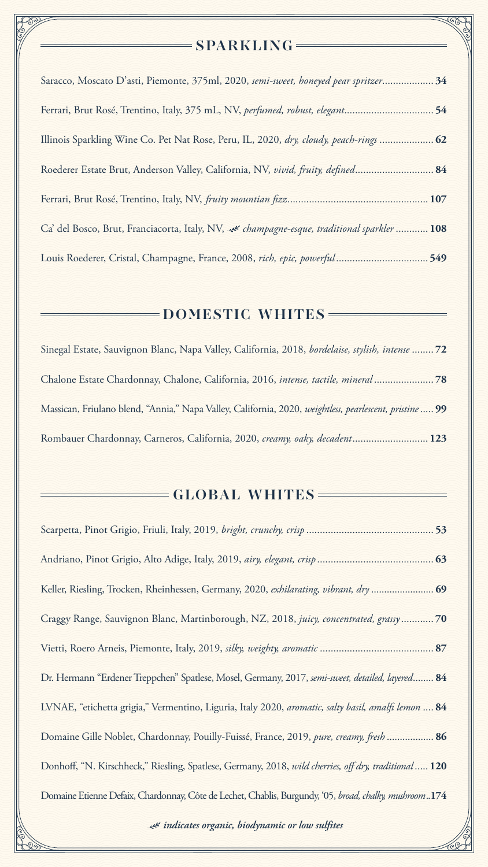#### $=$ **SPARKLING**

| Saracco, Moscato D'asti, Piemonte, 375ml, 2020, semi-sweet, honeyed pear spritzer 34       |
|--------------------------------------------------------------------------------------------|
| Ferrari, Brut Rosé, Trentino, Italy, 375 mL, NV, perfumed, robust, elegant54               |
| Illinois Sparkling Wine Co. Pet Nat Rose, Peru, IL, 2020, dry, cloudy, peach-rings  62     |
| Roederer Estate Brut, Anderson Valley, California, NV, vivid, fruity, defined 84           |
|                                                                                            |
| Ca' del Bosco, Brut, Franciacorta, Italy, NV, & champagne-esque, traditional sparkler  108 |
| Louis Roederer, Cristal, Champagne, France, 2008, rich, epic, powerful549                  |

#### **DOMESTIC WHITES**

Sinegal Estate, Sauvignon Blanc, Napa Valley, California, 2018, *bordelaise, stylish, intense* ........ **72** Chalone Estate Chardonnay, Chalone, California, 2016, *intense, tactile, mineral* ...................... **78**

Massican, Friulano blend, "Annia," Napa Valley, California, 2020, *weightless, pearlescent, pristine*..... **99**

Rombauer Chardonnay, Carneros, California, 2020, *creamy, oaky, decadent*............................ **123**

### **GLOBAL WHITES**

| Craggy Range, Sauvignon Blanc, Martinborough, NZ, 2018, juicy, concentrated, grassy70                  |
|--------------------------------------------------------------------------------------------------------|
|                                                                                                        |
| Dr. Hermann "Erdener Treppchen" Spatlese, Mosel, Germany, 2017, semi-sweet, detailed, layered 84       |
| LVNAE, "etichetta grigia," Vermentino, Liguria, Italy 2020, aromatic, salty basil, amalfi lemon  84    |
| Domaine Gille Noblet, Chardonnay, Pouilly-Fuissé, France, 2019, pure, creamy, fresh  86                |
| Donhoff, "N. Kirschheck," Riesling, Spatlese, Germany, 2018, wild cherries, off dry, traditional  120  |
| Domaine Etienne Defaix, Chardonnay, Côte de Lechet, Chablis, Burgundy, '05, broad, chalky, mushroom174 |

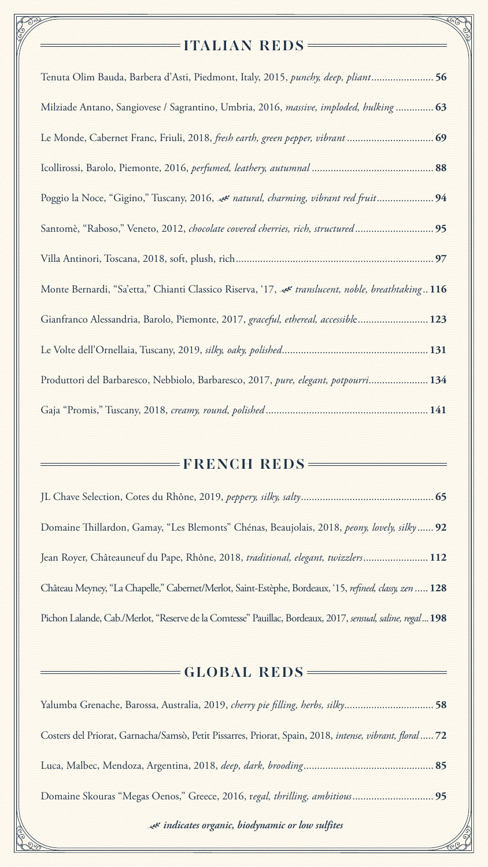

# **ITALIAN REDS**

| Tenuta Olim Bauda, Barbera d'Asti, Piedmont, Italy, 2015, <i>punchy, deep, pliant</i> 56          |
|---------------------------------------------------------------------------------------------------|
| Milziade Antano, Sangiovese / Sagrantino, Umbria, 2016, massive, imploded, hulking 63             |
|                                                                                                   |
|                                                                                                   |
| Poggio la Noce, "Gigino," Tuscany, 2016, et natural, charming, vibrant red fruit 94               |
| Santomè, "Raboso," Veneto, 2012, chocolate covered cherries, rich, structured95                   |
| 97                                                                                                |
| Ilonte Bernardi, "Sa'etta," Chianti Classico Riserva, 17, et translucent, noble, breathtaking 116 |
| Gianfranco Alessandria, Barolo, Piemonte, 2017, graceful, ethereal, accessible 123                |
|                                                                                                   |
| Produttori del Barbaresco, Nebbiolo, Barbaresco, 2017, pure, elegant, potpourri 134               |

| FRENCH REDS                                                                                                |  |
|------------------------------------------------------------------------------------------------------------|--|
|                                                                                                            |  |
| Domaine Thillardon, Gamay, "Les Blemonts" Chénas, Beaujolais, 2018, peony, lovely, silky 92                |  |
| Jean Royer, Châteauneuf du Pape, Rhône, 2018, traditional, elegant, twizzlers 112                          |  |
| Château Meyney, "La Chapelle," Cabernet/Merlot, Saint-Estèphe, Bordeaux, '15, refined, classy, zen  128    |  |
| Pichon Lalande, Cab./Merlot, "Reserve de la Comtesse" Pauillac, Bordeaux, 2017, sensual, saline, regal 198 |  |
|                                                                                                            |  |
| $= GLOBAL$ $REDS =$                                                                                        |  |
| Yalumba Grenache, Barossa, Australia, 2019, cherry pie filling, herbs, silky58                             |  |
| Costers del Priorat, Garnacha/Samsò, Petit Pissarres, Priorat, Spain, 2018, intense, vibrant, floral72     |  |
|                                                                                                            |  |
|                                                                                                            |  |